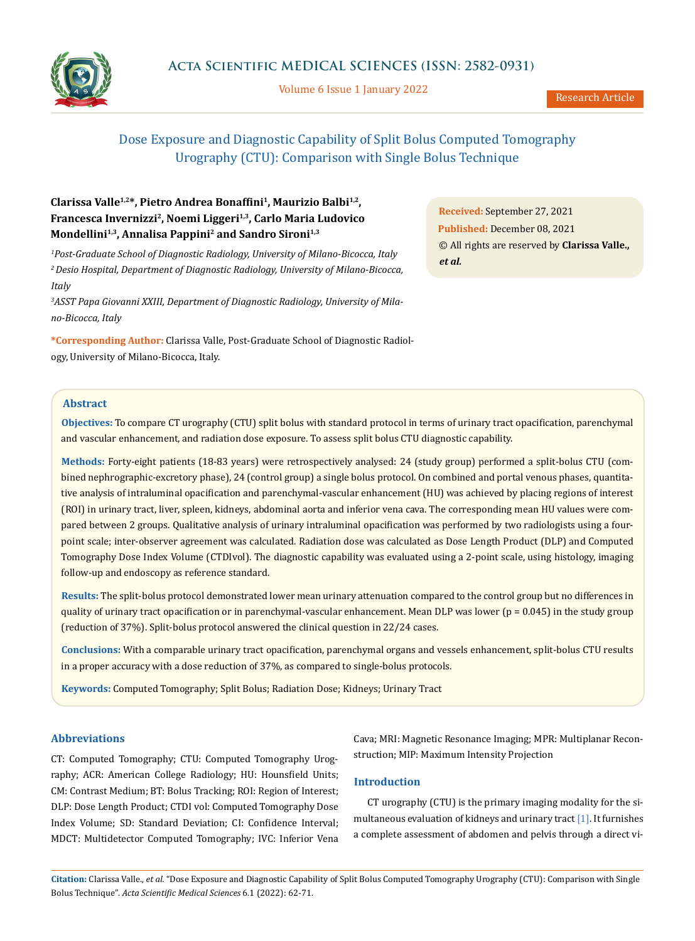

Volume 6 Issue 1 January 2022

# Dose Exposure and Diagnostic Capability of Split Bolus Computed Tomography Urography (CTU): Comparison with Single Bolus Technique

# **Clarissa Valle1,2\*, Pietro Andrea Bonaffini1, Maurizio Balbi1,2, Francesca Invernizzi2, Noemi Liggeri1,3, Carlo Maria Ludovico Mondellini1,3, Annalisa Pappini2 and Sandro Sironi1,3**

*1 Post-Graduate School of Diagnostic Radiology, University of Milano-Bicocca, Italy 2 Desio Hospital, Department of Diagnostic Radiology, University of Milano-Bicocca, Italy*

*3 ASST Papa Giovanni XXIII, Department of Diagnostic Radiology, University of Milano-Bicocca, Italy*

**\*Corresponding Author:** Clarissa Valle, Post-Graduate School of Diagnostic Radiology, University of Milano-Bicocca, Italy.

**Received:** September 27, 2021 **Published:** December 08, 2021 © All rights are reserved by **Clarissa Valle.,**  *et al.*

# **Abstract**

**Objectives:** To compare CT urography (CTU) split bolus with standard protocol in terms of urinary tract opacification, parenchymal and vascular enhancement, and radiation dose exposure. To assess split bolus CTU diagnostic capability.

**Methods:** Forty-eight patients (18-83 years) were retrospectively analysed: 24 (study group) performed a split-bolus CTU (combined nephrographic-excretory phase), 24 (control group) a single bolus protocol. On combined and portal venous phases, quantitative analysis of intraluminal opacification and parenchymal-vascular enhancement (HU) was achieved by placing regions of interest (ROI) in urinary tract, liver, spleen, kidneys, abdominal aorta and inferior vena cava. The corresponding mean HU values were compared between 2 groups. Qualitative analysis of urinary intraluminal opacification was performed by two radiologists using a fourpoint scale; inter-observer agreement was calculated. Radiation dose was calculated as Dose Length Product (DLP) and Computed Tomography Dose Index Volume (CTDIvol). The diagnostic capability was evaluated using a 2-point scale, using histology, imaging follow-up and endoscopy as reference standard.

**Results:** The split-bolus protocol demonstrated lower mean urinary attenuation compared to the control group but no differences in quality of urinary tract opacification or in parenchymal-vascular enhancement. Mean DLP was lower (p = 0.045) in the study group (reduction of 37%). Split-bolus protocol answered the clinical question in 22/24 cases.

**Conclusions:** With a comparable urinary tract opacification, parenchymal organs and vessels enhancement, split-bolus CTU results in a proper accuracy with a dose reduction of 37%, as compared to single-bolus protocols.

**Keywords:** Computed Tomography; Split Bolus; Radiation Dose; Kidneys; Urinary Tract

# **Abbreviations**

CT: Computed Tomography; CTU: Computed Tomography Urography; ACR: American College Radiology; HU: Hounsfield Units; CM: Contrast Medium; BT: Bolus Tracking; ROI: Region of Interest; DLP: Dose Length Product; CTDI vol: Computed Tomography Dose Index Volume; SD: Standard Deviation; CI: Confidence Interval; MDCT: Multidetector Computed Tomography; IVC: Inferior Vena

Cava; MRI: Magnetic Resonance Imaging; MPR: Multiplanar Reconstruction; MIP: Maximum Intensity Projection

# **Introduction**

CT urography (CTU) is the primary imaging modality for the simultaneous evaluation of kidneys and urinary tract [1]. It furnishes a complete assessment of abdomen and pelvis through a direct vi-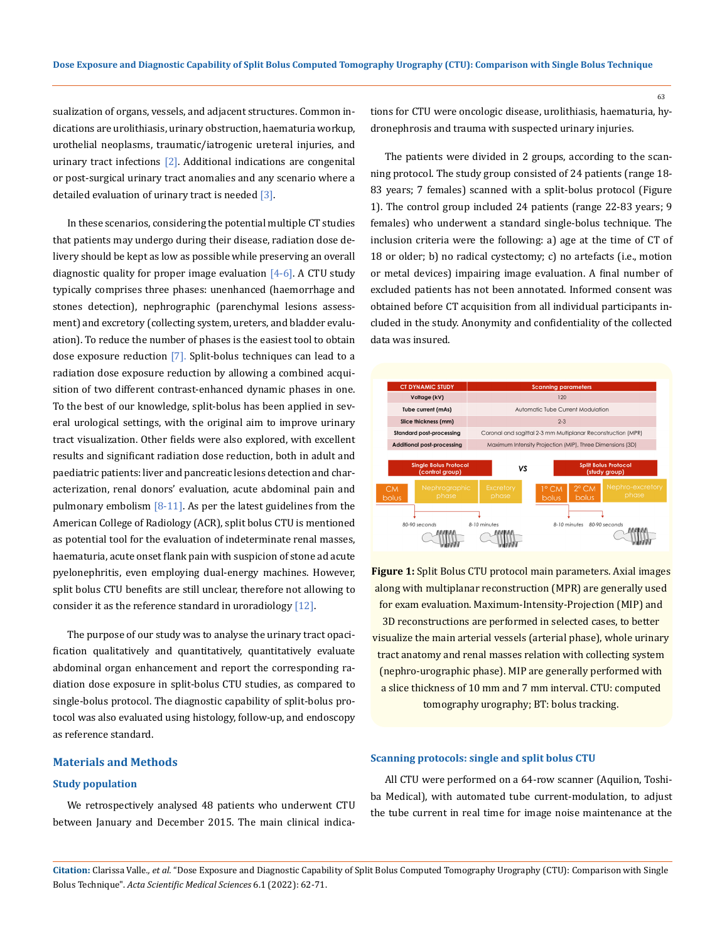sualization of organs, vessels, and adjacent structures. Common indications are urolithiasis, urinary obstruction, haematuria workup, urothelial neoplasms, traumatic/iatrogenic ureteral injuries, and urinary tract infections [2]. Additional indications are congenital or post-surgical urinary tract anomalies and any scenario where a detailed evaluation of urinary tract is needed  $\lceil 3 \rceil$ .

In these scenarios, considering the potential multiple CT studies that patients may undergo during their disease, radiation dose delivery should be kept as low as possible while preserving an overall diagnostic quality for proper image evaluation  $[4-6]$ . A CTU study typically comprises three phases: unenhanced (haemorrhage and stones detection), nephrographic (parenchymal lesions assessment) and excretory (collecting system, ureters, and bladder evaluation). To reduce the number of phases is the easiest tool to obtain dose exposure reduction [7]. Split-bolus techniques can lead to a radiation dose exposure reduction by allowing a combined acquisition of two different contrast-enhanced dynamic phases in one. To the best of our knowledge, split-bolus has been applied in several urological settings, with the original aim to improve urinary tract visualization. Other fields were also explored, with excellent results and significant radiation dose reduction, both in adult and paediatric patients: liver and pancreatic lesions detection and characterization, renal donors' evaluation, acute abdominal pain and pulmonary embolism  $[8-11]$ . As per the latest guidelines from the American College of Radiology (ACR), split bolus CTU is mentioned as potential tool for the evaluation of indeterminate renal masses, haematuria, acute onset flank pain with suspicion of stone ad acute pyelonephritis, even employing dual-energy machines. However, split bolus CTU benefits are still unclear, therefore not allowing to consider it as the reference standard in uroradiology [12].

The purpose of our study was to analyse the urinary tract opacification qualitatively and quantitatively, quantitatively evaluate abdominal organ enhancement and report the corresponding radiation dose exposure in split-bolus CTU studies, as compared to single-bolus protocol. The diagnostic capability of split-bolus protocol was also evaluated using histology, follow-up, and endoscopy as reference standard.

# **Materials and Methods**

### **Study population**

We retrospectively analysed 48 patients who underwent CTU between January and December 2015. The main clinical indications for CTU were oncologic disease, urolithiasis, haematuria, hydronephrosis and trauma with suspected urinary injuries.

The patients were divided in 2 groups, according to the scanning protocol. The study group consisted of 24 patients (range 18- 83 years; 7 females) scanned with a split-bolus protocol (Figure 1). The control group included 24 patients (range 22-83 years; 9 females) who underwent a standard single-bolus technique. The inclusion criteria were the following: a) age at the time of CT of 18 or older; b) no radical cystectomy; c) no artefacts (i.e., motion or metal devices) impairing image evaluation. A final number of excluded patients has not been annotated. Informed consent was obtained before CT acquisition from all individual participants included in the study. Anonymity and confidentiality of the collected data was insured.



**Figure 1:** Split Bolus CTU protocol main parameters. Axial images along with multiplanar reconstruction (MPR) are generally used for exam evaluation. Maximum-Intensity-Projection (MIP) and 3D reconstructions are performed in selected cases, to better visualize the main arterial vessels (arterial phase), whole urinary tract anatomy and renal masses relation with collecting system (nephro-urographic phase). MIP are generally performed with a slice thickness of 10 mm and 7 mm interval. CTU: computed tomography urography; BT: bolus tracking.

#### **Scanning protocols: single and split bolus CTU**

All CTU were performed on a 64-row scanner (Aquilion, Toshiba Medical), with automated tube current-modulation, to adjust the tube current in real time for image noise maintenance at the

**Citation:** Clarissa Valle*., et al.* "Dose Exposure and Diagnostic Capability of Split Bolus Computed Tomography Urography (CTU): Comparison with Single Bolus Technique". *Acta Scientific Medical Sciences* 6.1 (2022): 62-71.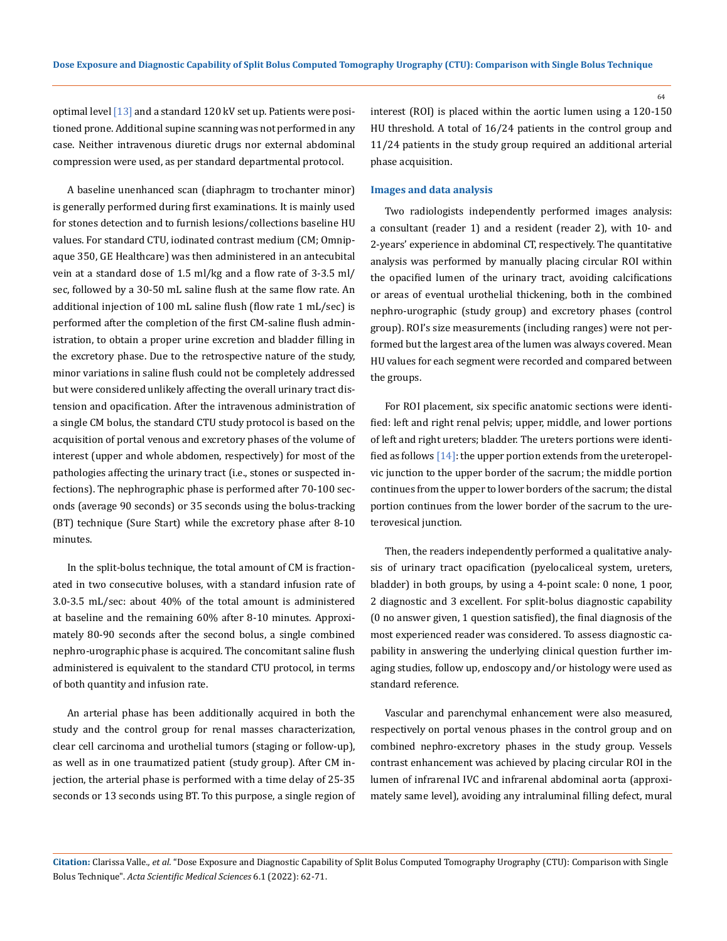optimal level [13] and a standard 120 kV set up. Patients were positioned prone. Additional supine scanning was not performed in any case. Neither intravenous diuretic drugs nor external abdominal compression were used, as per standard departmental protocol.

A baseline unenhanced scan (diaphragm to trochanter minor) is generally performed during first examinations. It is mainly used for stones detection and to furnish lesions/collections baseline HU values. For standard CTU, iodinated contrast medium (CM; Omnipaque 350, GE Healthcare) was then administered in an antecubital vein at a standard dose of 1.5 ml/kg and a flow rate of 3-3.5 ml/ sec, followed by a 30-50 mL saline flush at the same flow rate. An additional injection of 100 mL saline flush (flow rate 1 mL/sec) is performed after the completion of the first CM-saline flush administration, to obtain a proper urine excretion and bladder filling in the excretory phase. Due to the retrospective nature of the study, minor variations in saline flush could not be completely addressed but were considered unlikely affecting the overall urinary tract distension and opacification. After the intravenous administration of a single CM bolus, the standard CTU study protocol is based on the acquisition of portal venous and excretory phases of the volume of interest (upper and whole abdomen, respectively) for most of the pathologies affecting the urinary tract (i.e., stones or suspected infections). The nephrographic phase is performed after 70-100 seconds (average 90 seconds) or 35 seconds using the bolus-tracking (BT) technique (Sure Start) while the excretory phase after 8-10 minutes.

In the split-bolus technique, the total amount of CM is fractionated in two consecutive boluses, with a standard infusion rate of 3.0-3.5 mL/sec: about 40% of the total amount is administered at baseline and the remaining 60% after 8-10 minutes. Approximately 80-90 seconds after the second bolus, a single combined nephro-urographic phase is acquired. The concomitant saline flush administered is equivalent to the standard CTU protocol, in terms of both quantity and infusion rate.

An arterial phase has been additionally acquired in both the study and the control group for renal masses characterization, clear cell carcinoma and urothelial tumors (staging or follow-up), as well as in one traumatized patient (study group). After CM injection, the arterial phase is performed with a time delay of 25-35 seconds or 13 seconds using BT. To this purpose, a single region of interest (ROI) is placed within the aortic lumen using a 120-150 HU threshold. A total of 16/24 patients in the control group and 11/24 patients in the study group required an additional arterial phase acquisition.

#### **Images and data analysis**

Two radiologists independently performed images analysis: a consultant (reader 1) and a resident (reader 2), with 10- and 2-years' experience in abdominal CT, respectively. The quantitative analysis was performed by manually placing circular ROI within the opacified lumen of the urinary tract, avoiding calcifications or areas of eventual urothelial thickening, both in the combined nephro-urographic (study group) and excretory phases (control group). ROI's size measurements (including ranges) were not performed but the largest area of the lumen was always covered. Mean HU values for each segment were recorded and compared between the groups.

For ROI placement, six specific anatomic sections were identified: left and right renal pelvis; upper, middle, and lower portions of left and right ureters; bladder. The ureters portions were identified as follows [14]: the upper portion extends from the ureteropelvic junction to the upper border of the sacrum; the middle portion continues from the upper to lower borders of the sacrum; the distal portion continues from the lower border of the sacrum to the ureterovesical junction.

Then, the readers independently performed a qualitative analysis of urinary tract opacification (pyelocaliceal system, ureters, bladder) in both groups, by using a 4-point scale: 0 none, 1 poor, 2 diagnostic and 3 excellent. For split-bolus diagnostic capability (0 no answer given, 1 question satisfied), the final diagnosis of the most experienced reader was considered. To assess diagnostic capability in answering the underlying clinical question further imaging studies, follow up, endoscopy and/or histology were used as standard reference.

Vascular and parenchymal enhancement were also measured, respectively on portal venous phases in the control group and on combined nephro-excretory phases in the study group. Vessels contrast enhancement was achieved by placing circular ROI in the lumen of infrarenal IVC and infrarenal abdominal aorta (approximately same level), avoiding any intraluminal filling defect, mural

**Citation:** Clarissa Valle*., et al.* "Dose Exposure and Diagnostic Capability of Split Bolus Computed Tomography Urography (CTU): Comparison with Single Bolus Technique". *Acta Scientific Medical Sciences* 6.1 (2022): 62-71.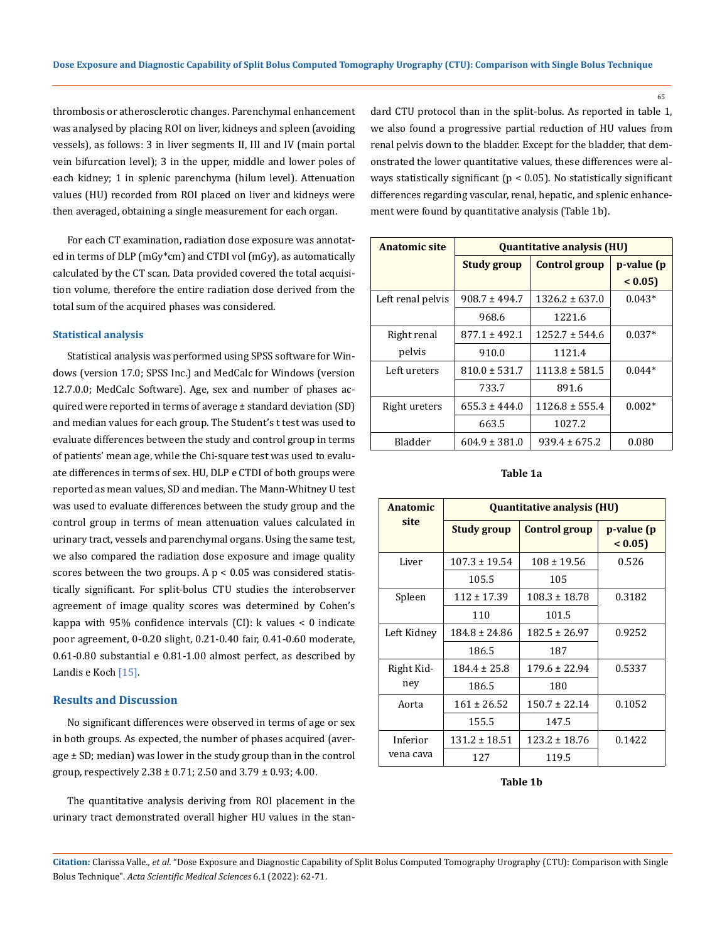thrombosis or atherosclerotic changes. Parenchymal enhancement was analysed by placing ROI on liver, kidneys and spleen (avoiding vessels), as follows: 3 in liver segments II, III and IV (main portal vein bifurcation level); 3 in the upper, middle and lower poles of each kidney; 1 in splenic parenchyma (hilum level). Attenuation values (HU) recorded from ROI placed on liver and kidneys were then averaged, obtaining a single measurement for each organ.

For each CT examination, radiation dose exposure was annotated in terms of DLP (mGy\*cm) and CTDI vol (mGy), as automatically calculated by the CT scan. Data provided covered the total acquisition volume, therefore the entire radiation dose derived from the total sum of the acquired phases was considered.

#### **Statistical analysis**

Statistical analysis was performed using SPSS software for Windows (version 17.0; SPSS Inc.) and MedCalc for Windows (version 12.7.0.0; MedCalc Software). Age, sex and number of phases acquired were reported in terms of average ± standard deviation (SD) and median values for each group. The Student's t test was used to evaluate differences between the study and control group in terms of patients' mean age, while the Chi-square test was used to evaluate differences in terms of sex. HU, DLP e CTDI of both groups were reported as mean values, SD and median. The Mann-Whitney U test was used to evaluate differences between the study group and the control group in terms of mean attenuation values calculated in urinary tract, vessels and parenchymal organs. Using the same test, we also compared the radiation dose exposure and image quality scores between the two groups. A  $p < 0.05$  was considered statistically significant. For split-bolus CTU studies the interobserver agreement of image quality scores was determined by Cohen's kappa with 95% confidence intervals (CI): k values < 0 indicate poor agreement, 0-0.20 slight, 0.21-0.40 fair, 0.41-0.60 moderate, 0.61-0.80 substantial e 0.81-1.00 almost perfect, as described by Landis e Koch [15].

# **Results and Discussion**

No significant differences were observed in terms of age or sex in both groups. As expected, the number of phases acquired (average  $\pm$  SD; median) was lower in the study group than in the control group, respectively  $2.38 \pm 0.71$ ;  $2.50$  and  $3.79 \pm 0.93$ ;  $4.00$ .

The quantitative analysis deriving from ROI placement in the urinary tract demonstrated overall higher HU values in the standard CTU protocol than in the split-bolus. As reported in table 1, we also found a progressive partial reduction of HU values from renal pelvis down to the bladder. Except for the bladder, that demonstrated the lower quantitative values, these differences were always statistically significant ( $p < 0.05$ ). No statistically significant differences regarding vascular, renal, hepatic, and splenic enhancement were found by quantitative analysis (Table 1b).

| <b>Anatomic site</b> | <b>Quantitative analysis (HU)</b>          |                    |            |  |  |  |
|----------------------|--------------------------------------------|--------------------|------------|--|--|--|
|                      | <b>Control group</b><br><b>Study group</b> |                    | p-value (p |  |  |  |
|                      |                                            |                    | < 0.05     |  |  |  |
| Left renal pelvis    | $908.7 \pm 494.7$                          | $1326.2 \pm 637.0$ | $0.043*$   |  |  |  |
|                      | 968.6                                      | 1221.6             |            |  |  |  |
| Right renal          | $877.1 \pm 492.1$                          | $1252.7 \pm 544.6$ | $0.037*$   |  |  |  |
| pelvis               | 910.0                                      | 1121.4             |            |  |  |  |
| Left ureters         | $810.0 \pm 531.7$                          | $1113.8 \pm 581.5$ | $0.044*$   |  |  |  |
|                      | 733.7                                      | 891.6              |            |  |  |  |
| Right ureters        | $655.3 \pm 444.0$                          | $1126.8 \pm 555.4$ | $0.002*$   |  |  |  |
|                      | 663.5                                      | 1027.2             |            |  |  |  |
| Bladder              | $604.9 \pm 381.0$                          | $939.4 \pm 675.2$  | 0.080      |  |  |  |

#### **Table 1a**

| Anatomic    | <b>Quantitative analysis (HU)</b> |                   |                      |  |  |
|-------------|-----------------------------------|-------------------|----------------------|--|--|
| site        | <b>Study group</b>                | Control group     | p-value (p<br>< 0.05 |  |  |
| Liver       | $107.3 \pm 19.54$                 | $108 \pm 19.56$   | 0.526                |  |  |
|             | 105.5                             | 105               |                      |  |  |
| Spleen      | $112 \pm 17.39$                   | $108.3 \pm 18.78$ | 0.3182               |  |  |
|             | 110                               | 101.5             |                      |  |  |
| Left Kidney | $184.8 \pm 24.86$                 | $182.5 \pm 26.97$ | 0.9252               |  |  |
|             | 186.5                             | 187               |                      |  |  |
| Right Kid-  | $184.4 \pm 25.8$                  | $179.6 \pm 22.94$ | 0.5337               |  |  |
| ney         | 186.5                             | 180               |                      |  |  |
| Aorta       | $161 \pm 26.52$                   | $150.7 \pm 22.14$ | 0.1052               |  |  |
|             | 155.5                             | 147.5             |                      |  |  |
| Inferior    | $131.2 \pm 18.51$                 | $123.2 \pm 18.76$ | 0.1422               |  |  |
| vena cava   | 127                               | 119.5             |                      |  |  |

**Table 1b**

**Citation:** Clarissa Valle*., et al.* "Dose Exposure and Diagnostic Capability of Split Bolus Computed Tomography Urography (CTU): Comparison with Single Bolus Technique". *Acta Scientific Medical Sciences* 6.1 (2022): 62-71.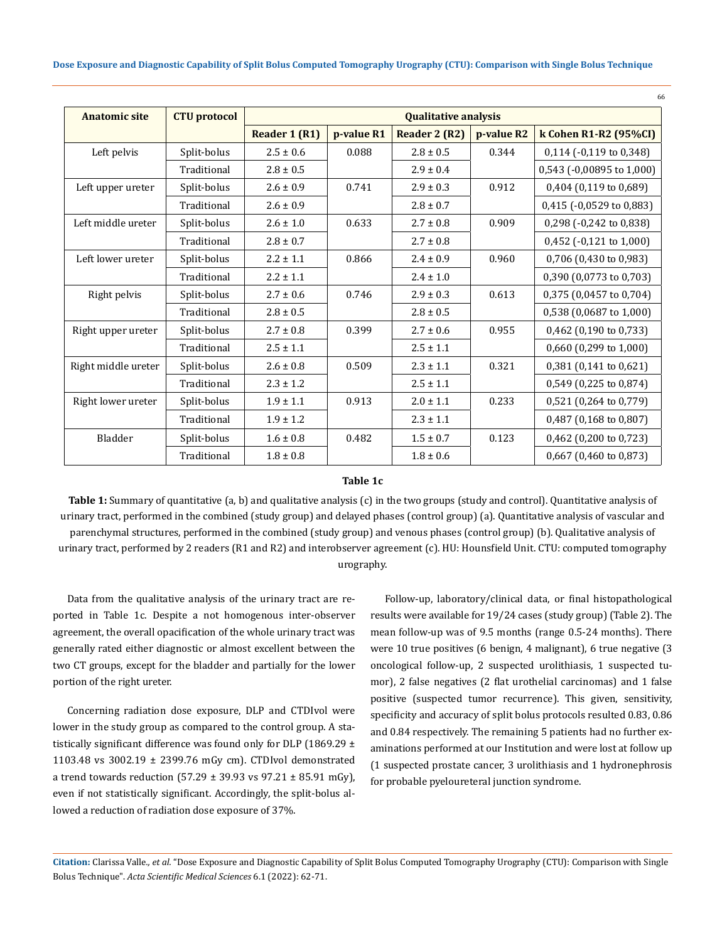| <b>Anatomic site</b> | <b>CTU</b> protocol | <b>Qualitative analysis</b> |            |                        |            |                           |  |  |  |
|----------------------|---------------------|-----------------------------|------------|------------------------|------------|---------------------------|--|--|--|
|                      |                     | Reader 1 (R1)               | p-value R1 | Reader 2 (R2)          | p-value R2 | k Cohen R1-R2 (95%CI)     |  |  |  |
| Left pelvis          | Split-bolus         | $2.5 \pm 0.6$               | 0.088      | $2.8 \pm 0.5$          | 0.344      | $0,114$ (-0,119 to 0,348) |  |  |  |
|                      | Traditional         | $2.8 \pm 0.5$               |            | $2.9 \pm 0.4$          |            | 0,543 (-0,00895 to 1,000) |  |  |  |
| Left upper ureter    | Split-bolus         | $2.6 \pm 0.9$               | 0.741      | $2.9 \pm 0.3$          | 0.912      | 0,404 (0,119 to 0,689)    |  |  |  |
|                      | Traditional         | $2.6 \pm 0.9$               |            | $2.8 \pm 0.7$          |            | 0,415 (-0,0529 to 0,883)  |  |  |  |
| Left middle ureter   | Split-bolus         | $2.6 \pm 1.0$               | 0.633      | $2.7 \pm 0.8$          | 0.909      | 0,298 (-0,242 to 0,838)   |  |  |  |
|                      | Traditional         | $2.8 \pm 0.7$               |            | $2.7\pm0.8$            |            | 0,452 (-0,121 to 1,000)   |  |  |  |
| Left lower ureter    | Split-bolus         | $2.2 \pm 1.1$               | 0.866      | $2.4 \pm 0.9$          | 0.960      | 0,706 (0,430 to 0,983)    |  |  |  |
|                      | Traditional         | $2.2 \pm 1.1$               |            | $2.4 \pm 1.0$          |            | 0,390 (0,0773 to 0,703)   |  |  |  |
| Right pelvis         | Split-bolus         | $2.7 \pm 0.6$               | 0.746      | $2.9 \pm 0.3$          | 0.613      | 0,375 (0,0457 to 0,704)   |  |  |  |
|                      | Traditional         | $2.8 \pm 0.5$               |            | $2.8 \pm 0.5$          |            | 0,538 (0,0687 to 1,000)   |  |  |  |
| Right upper ureter   | Split-bolus         | $2.7 \pm 0.8$               | 0.399      | 0.955<br>$2.7 \pm 0.6$ |            | $0,462$ (0,190 to 0,733)  |  |  |  |
|                      | Traditional         | $2.5 \pm 1.1$               |            | $2.5 \pm 1.1$          |            | 0,660 (0,299 to 1,000)    |  |  |  |
| Right middle ureter  | Split-bolus         | $2.6 \pm 0.8$               | 0.509      | $2.3 \pm 1.1$          | 0.321      | 0,381 (0,141 to 0,621)    |  |  |  |
|                      | Traditional         | $2.3 \pm 1.2$               |            | $2.5 \pm 1.1$          |            | 0,549 (0,225 to 0,874)    |  |  |  |
| Right lower ureter   | Split-bolus         | $1.9 \pm 1.1$               | 0.913      | $2.0 \pm 1.1$          | 0.233      | 0,521 (0,264 to 0,779)    |  |  |  |
|                      | Traditional         | $1.9 \pm 1.2$               |            | $2.3 \pm 1.1$          |            | 0,487 (0,168 to 0,807)    |  |  |  |
| Bladder              | Split-bolus         | $1.6 \pm 0.8$               | 0.482      | $1.5 \pm 0.7$          | 0.123      | 0,462 (0,200 to 0,723)    |  |  |  |
|                      | Traditional         | $1.8 \pm 0.8$               |            | $1.8 \pm 0.6$          |            | 0,667 (0,460 to 0,873)    |  |  |  |

# **Table 1c**

**Table 1:** Summary of quantitative (a, b) and qualitative analysis (c) in the two groups (study and control). Quantitative analysis of urinary tract, performed in the combined (study group) and delayed phases (control group) (a). Quantitative analysis of vascular and parenchymal structures, performed in the combined (study group) and venous phases (control group) (b). Qualitative analysis of urinary tract, performed by 2 readers (R1 and R2) and interobserver agreement (c). HU: Hounsfield Unit. CTU: computed tomography urography.

Data from the qualitative analysis of the urinary tract are reported in Table 1c. Despite a not homogenous inter-observer agreement, the overall opacification of the whole urinary tract was generally rated either diagnostic or almost excellent between the two CT groups, except for the bladder and partially for the lower portion of the right ureter.

Concerning radiation dose exposure, DLP and CTDIvol were lower in the study group as compared to the control group. A statistically significant difference was found only for DLP (1869.29  $\pm$ 1103.48 vs 3002.19 ± 2399.76 mGy cm). CTDIvol demonstrated a trend towards reduction  $(57.29 \pm 39.93 \text{ vs } 97.21 \pm 85.91 \text{ mGy})$ , even if not statistically significant. Accordingly, the split-bolus allowed a reduction of radiation dose exposure of 37%.

Follow-up, laboratory/clinical data, or final histopathological results were available for 19/24 cases (study group) (Table 2). The mean follow-up was of 9.5 months (range 0.5-24 months). There were 10 true positives (6 benign, 4 malignant), 6 true negative (3 oncological follow-up, 2 suspected urolithiasis, 1 suspected tumor), 2 false negatives (2 flat urothelial carcinomas) and 1 false positive (suspected tumor recurrence). This given, sensitivity, specificity and accuracy of split bolus protocols resulted 0.83, 0.86 and 0.84 respectively. The remaining 5 patients had no further examinations performed at our Institution and were lost at follow up (1 suspected prostate cancer, 3 urolithiasis and 1 hydronephrosis for probable pyeloureteral junction syndrome.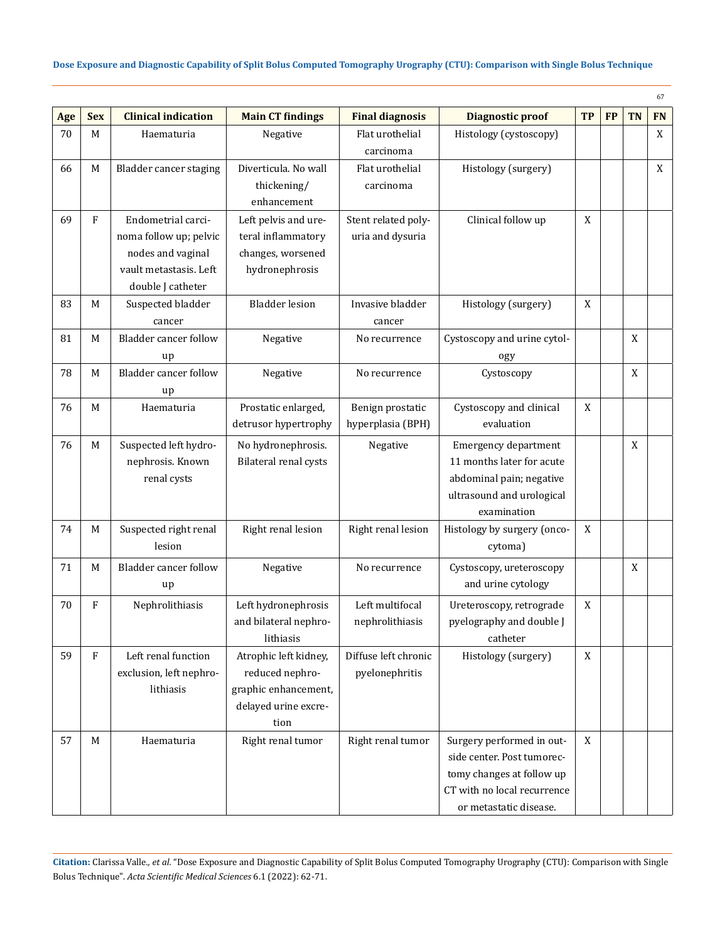|     |            |                              |                         |                        |                             |             |           |           | 67        |
|-----|------------|------------------------------|-------------------------|------------------------|-----------------------------|-------------|-----------|-----------|-----------|
| Age | <b>Sex</b> | <b>Clinical indication</b>   | <b>Main CT findings</b> | <b>Final diagnosis</b> | <b>Diagnostic proof</b>     | <b>TP</b>   | <b>FP</b> | <b>TN</b> | <b>FN</b> |
| 70  | M          | Haematuria                   | Negative                | Flat urothelial        | Histology (cystoscopy)      |             |           |           | X         |
|     |            |                              |                         | carcinoma              |                             |             |           |           |           |
| 66  | M          | Bladder cancer staging       | Diverticula. No wall    | Flat urothelial        | Histology (surgery)         |             |           |           | X         |
|     |            |                              | thickening/             | carcinoma              |                             |             |           |           |           |
|     |            |                              | enhancement             |                        |                             |             |           |           |           |
| 69  | F          | Endometrial carci-           | Left pelvis and ure-    | Stent related poly-    | Clinical follow up          | $\mathbf X$ |           |           |           |
|     |            | noma follow up; pelvic       | teral inflammatory      | uria and dysuria       |                             |             |           |           |           |
|     |            | nodes and vaginal            | changes, worsened       |                        |                             |             |           |           |           |
|     |            | vault metastasis. Left       | hydronephrosis          |                        |                             |             |           |           |           |
|     |            | double J catheter            |                         |                        |                             |             |           |           |           |
| 83  | M          | Suspected bladder            | <b>Bladder lesion</b>   | Invasive bladder       | Histology (surgery)         | $\mathbf X$ |           |           |           |
|     |            | cancer                       |                         | cancer                 |                             |             |           |           |           |
| 81  | M          | <b>Bladder cancer follow</b> | Negative                | No recurrence          | Cystoscopy and urine cytol- |             |           | X         |           |
|     |            | up                           |                         |                        | ogy                         |             |           |           |           |
| 78  | M          | Bladder cancer follow        | Negative                | No recurrence          | Cystoscopy                  |             |           | X         |           |
|     |            | up                           |                         |                        |                             |             |           |           |           |
| 76  | M          | Haematuria                   | Prostatic enlarged,     | Benign prostatic       | Cystoscopy and clinical     | X           |           |           |           |
|     |            |                              | detrusor hypertrophy    | hyperplasia (BPH)      | evaluation                  |             |           |           |           |
| 76  | M          | Suspected left hydro-        | No hydronephrosis.      | Negative               | Emergency department        |             |           | X         |           |
|     |            | nephrosis. Known             | Bilateral renal cysts   |                        | 11 months later for acute   |             |           |           |           |
|     |            | renal cysts                  |                         |                        | abdominal pain; negative    |             |           |           |           |
|     |            |                              |                         |                        | ultrasound and urological   |             |           |           |           |
|     |            |                              |                         |                        | examination                 |             |           |           |           |
| 74  | M          | Suspected right renal        | Right renal lesion      | Right renal lesion     | Histology by surgery (onco- | X           |           |           |           |
|     |            | lesion                       |                         |                        | cytoma)                     |             |           |           |           |
| 71  | M          | Bladder cancer follow        | Negative                | No recurrence          | Cystoscopy, ureteroscopy    |             |           | X         |           |
|     |            | up                           |                         |                        | and urine cytology          |             |           |           |           |
| 70  | F          | Nephrolithiasis              | Left hydronephrosis     | Left multifocal        | Ureteroscopy, retrograde    | X           |           |           |           |
|     |            |                              | and bilateral nephro-   | nephrolithiasis        | pyelography and double J    |             |           |           |           |
|     |            |                              | lithiasis               |                        | catheter                    |             |           |           |           |
| 59  | F          | Left renal function          | Atrophic left kidney,   | Diffuse left chronic   | Histology (surgery)         | X           |           |           |           |
|     |            | exclusion, left nephro-      | reduced nephro-         | pyelonephritis         |                             |             |           |           |           |
|     |            | lithiasis                    | graphic enhancement,    |                        |                             |             |           |           |           |
|     |            |                              | delayed urine excre-    |                        |                             |             |           |           |           |
|     |            |                              | tion                    |                        |                             |             |           |           |           |
| 57  | M          | Haematuria                   | Right renal tumor       | Right renal tumor      | Surgery performed in out-   | X           |           |           |           |
|     |            |                              |                         |                        | side center. Post tumorec-  |             |           |           |           |
|     |            |                              |                         |                        | tomy changes at follow up   |             |           |           |           |
|     |            |                              |                         |                        | CT with no local recurrence |             |           |           |           |
|     |            |                              |                         |                        | or metastatic disease.      |             |           |           |           |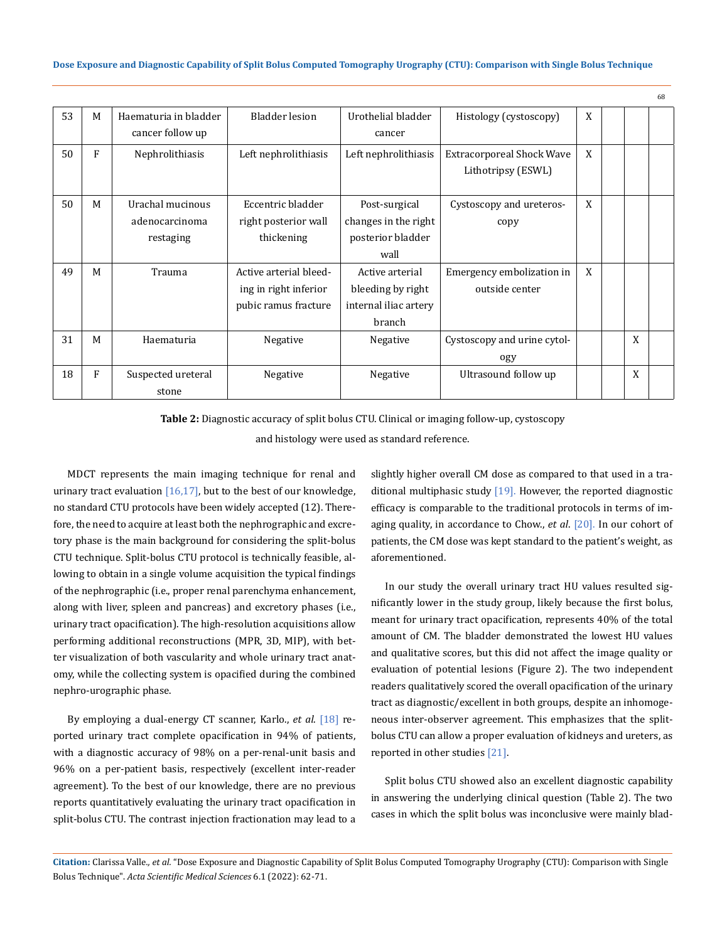**Dose Exposure and Diagnostic Capability of Split Bolus Computed Tomography Urography (CTU): Comparison with Single Bolus Technique**

| 53 | M | Haematuria in bladder | Bladder lesion         | Urothelial bladder    | Histology (cystoscopy)           | X |   |  |
|----|---|-----------------------|------------------------|-----------------------|----------------------------------|---|---|--|
|    |   | cancer follow up      |                        | cancer                |                                  |   |   |  |
| 50 | F | Nephrolithiasis       | Left nephrolithiasis   | Left nephrolithiasis  | <b>Extracorporeal Shock Wave</b> | X |   |  |
|    |   |                       |                        |                       | Lithotripsy (ESWL)               |   |   |  |
|    |   |                       |                        |                       |                                  |   |   |  |
| 50 | M | Urachal mucinous      | Eccentric bladder      | Post-surgical         | Cystoscopy and ureteros-         | X |   |  |
|    |   | adenocarcinoma        | right posterior wall   | changes in the right  | copy                             |   |   |  |
|    |   | restaging             | thickening             | posterior bladder     |                                  |   |   |  |
|    |   |                       |                        | wall                  |                                  |   |   |  |
| 49 | M | Trauma                | Active arterial bleed- | Active arterial       | Emergency embolization in        | X |   |  |
|    |   |                       | ing in right inferior  | bleeding by right     | outside center                   |   |   |  |
|    |   |                       | pubic ramus fracture   | internal iliac artery |                                  |   |   |  |
|    |   |                       |                        | branch                |                                  |   |   |  |
| 31 | M | Haematuria            | Negative               | Negative              | Cystoscopy and urine cytol-      |   | X |  |
|    |   |                       |                        |                       | ogy                              |   |   |  |
| 18 | F | Suspected ureteral    | Negative               | Negative              | Ultrasound follow up             |   | X |  |
|    |   | stone                 |                        |                       |                                  |   |   |  |

**Table 2:** Diagnostic accuracy of split bolus CTU. Clinical or imaging follow-up, cystoscopy

and histology were used as standard reference.

MDCT represents the main imaging technique for renal and urinary tract evaluation  $[16,17]$ , but to the best of our knowledge, no standard CTU protocols have been widely accepted (12). Therefore, the need to acquire at least both the nephrographic and excretory phase is the main background for considering the split-bolus CTU technique. Split-bolus CTU protocol is technically feasible, allowing to obtain in a single volume acquisition the typical findings of the nephrographic (i.e., proper renal parenchyma enhancement, along with liver, spleen and pancreas) and excretory phases (i.e., urinary tract opacification). The high-resolution acquisitions allow performing additional reconstructions (MPR, 3D, MIP), with better visualization of both vascularity and whole urinary tract anatomy, while the collecting system is opacified during the combined nephro-urographic phase.

By employing a dual-energy CT scanner, Karlo., *et al*. [18] reported urinary tract complete opacification in 94% of patients, with a diagnostic accuracy of 98% on a per-renal-unit basis and 96% on a per-patient basis, respectively (excellent inter-reader agreement). To the best of our knowledge, there are no previous reports quantitatively evaluating the urinary tract opacification in split-bolus CTU. The contrast injection fractionation may lead to a

slightly higher overall CM dose as compared to that used in a traditional multiphasic study [19]. However, the reported diagnostic efficacy is comparable to the traditional protocols in terms of imaging quality, in accordance to Chow., *et al*. [20]. In our cohort of patients, the CM dose was kept standard to the patient's weight, as aforementioned.

 $68$ 

In our study the overall urinary tract HU values resulted significantly lower in the study group, likely because the first bolus, meant for urinary tract opacification, represents 40% of the total amount of CM. The bladder demonstrated the lowest HU values and qualitative scores, but this did not affect the image quality or evaluation of potential lesions (Figure 2). The two independent readers qualitatively scored the overall opacification of the urinary tract as diagnostic/excellent in both groups, despite an inhomogeneous inter-observer agreement. This emphasizes that the splitbolus CTU can allow a proper evaluation of kidneys and ureters, as reported in other studies [21].

Split bolus CTU showed also an excellent diagnostic capability in answering the underlying clinical question (Table 2). The two cases in which the split bolus was inconclusive were mainly blad-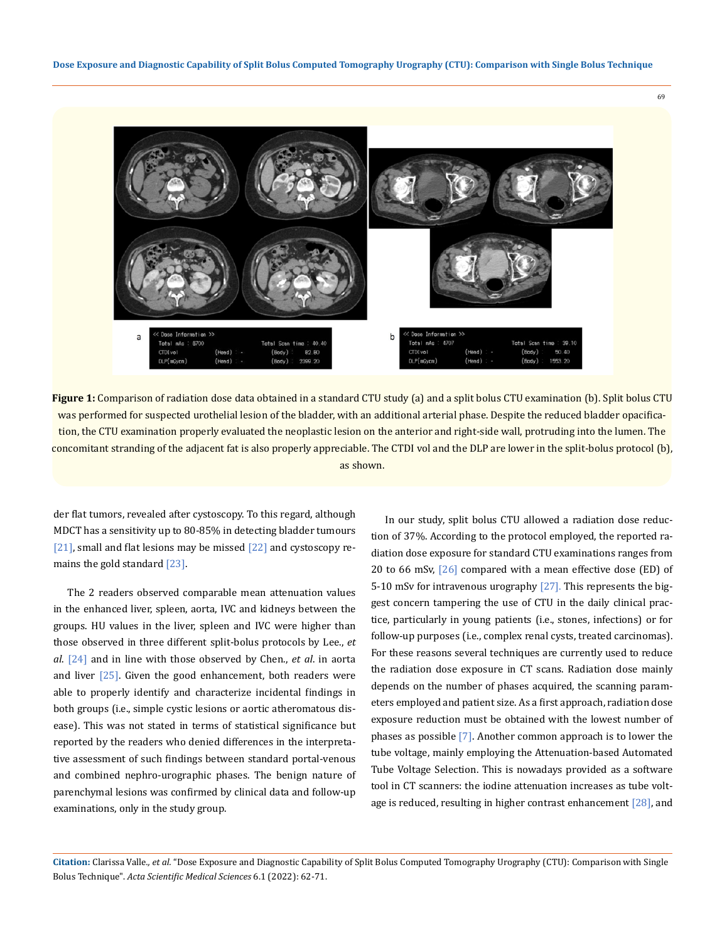

**Figure 1:** Comparison of radiation dose data obtained in a standard CTU study (a) and a split bolus CTU examination (b). Split bolus CTU was performed for suspected urothelial lesion of the bladder, with an additional arterial phase. Despite the reduced bladder opacification, the CTU examination properly evaluated the neoplastic lesion on the anterior and right-side wall, protruding into the lumen. The concomitant stranding of the adjacent fat is also properly appreciable. The CTDI vol and the DLP are lower in the split-bolus protocol (b), as shown.

der flat tumors, revealed after cystoscopy. To this regard, although MDCT has a sensitivity up to 80-85% in detecting bladder tumours [21], small and flat lesions may be missed [22] and cystoscopy remains the gold standard [23].

The 2 readers observed comparable mean attenuation values in the enhanced liver, spleen, aorta, IVC and kidneys between the groups. HU values in the liver, spleen and IVC were higher than those observed in three different split-bolus protocols by Lee., *et al*. [24] and in line with those observed by Chen., *et al*. in aorta and liver  $[25]$ . Given the good enhancement, both readers were able to properly identify and characterize incidental findings in both groups (i.e., simple cystic lesions or aortic atheromatous disease). This was not stated in terms of statistical significance but reported by the readers who denied differences in the interpretative assessment of such findings between standard portal-venous and combined nephro-urographic phases. The benign nature of parenchymal lesions was confirmed by clinical data and follow-up examinations, only in the study group.

In our study, split bolus CTU allowed a radiation dose reduction of 37%. According to the protocol employed, the reported radiation dose exposure for standard CTU examinations ranges from 20 to 66 mSv,  $[26]$  compared with a mean effective dose (ED) of 5-10 mSv for intravenous urography [27]. This represents the biggest concern tampering the use of CTU in the daily clinical practice, particularly in young patients (i.e., stones, infections) or for follow-up purposes (i.e., complex renal cysts, treated carcinomas). For these reasons several techniques are currently used to reduce the radiation dose exposure in CT scans. Radiation dose mainly depends on the number of phases acquired, the scanning parameters employed and patient size. As a first approach, radiation dose exposure reduction must be obtained with the lowest number of phases as possible [7]. Another common approach is to lower the tube voltage, mainly employing the Attenuation-based Automated Tube Voltage Selection. This is nowadays provided as a software tool in CT scanners: the iodine attenuation increases as tube voltage is reduced, resulting in higher contrast enhancement  $[28]$ , and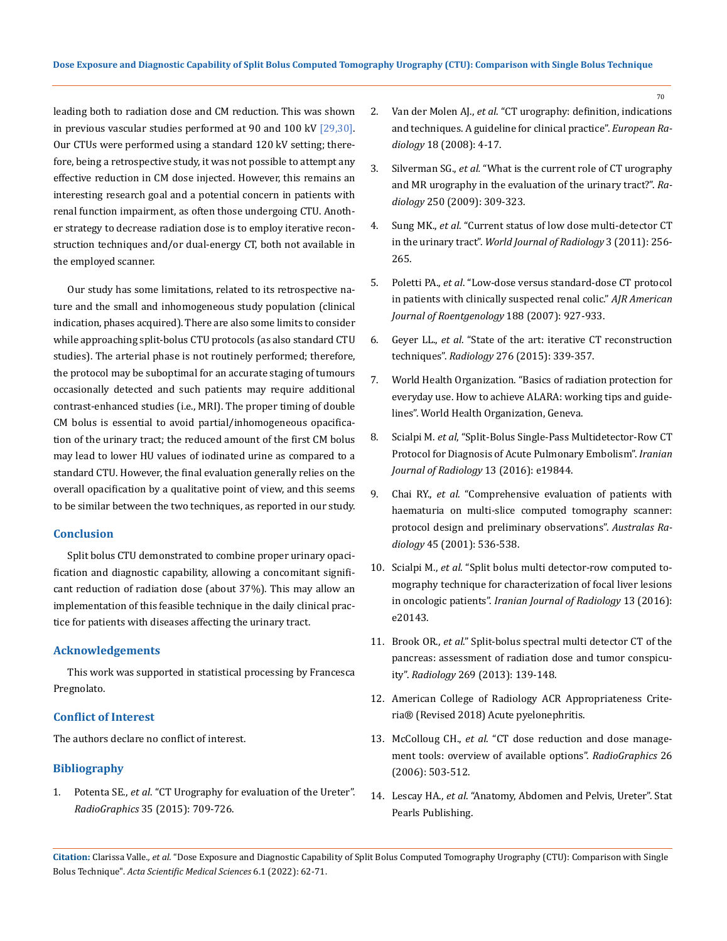leading both to radiation dose and CM reduction. This was shown in previous vascular studies performed at 90 and 100 kV [29,30]. Our CTUs were performed using a standard 120 kV setting; therefore, being a retrospective study, it was not possible to attempt any effective reduction in CM dose injected. However, this remains an interesting research goal and a potential concern in patients with renal function impairment, as often those undergoing CTU. Another strategy to decrease radiation dose is to employ iterative reconstruction techniques and/or dual-energy CT, both not available in the employed scanner.

Our study has some limitations, related to its retrospective nature and the small and inhomogeneous study population (clinical indication, phases acquired). There are also some limits to consider while approaching split-bolus CTU protocols (as also standard CTU studies). The arterial phase is not routinely performed; therefore, the protocol may be suboptimal for an accurate staging of tumours occasionally detected and such patients may require additional contrast-enhanced studies (i.e., MRI). The proper timing of double CM bolus is essential to avoid partial/inhomogeneous opacification of the urinary tract; the reduced amount of the first CM bolus may lead to lower HU values of iodinated urine as compared to a standard CTU. However, the final evaluation generally relies on the overall opacification by a qualitative point of view, and this seems to be similar between the two techniques, as reported in our study.

# **Conclusion**

Split bolus CTU demonstrated to combine proper urinary opacification and diagnostic capability, allowing a concomitant significant reduction of radiation dose (about 37%). This may allow an implementation of this feasible technique in the daily clinical practice for patients with diseases affecting the urinary tract.

#### **Acknowledgements**

This work was supported in statistical processing by Francesca Pregnolato.

# **Conflict of Interest**

The authors declare no conflict of interest.

# **Bibliography**

1. Potenta SE., *et al*[. "CT Urography for evaluation of the Ureter".](https://pubmed.ncbi.nlm.nih.gov/25815907/)  *RadioGraphics* [35 \(2015\): 709-726.](https://pubmed.ncbi.nlm.nih.gov/25815907/)

- 2. Van der Molen AJ., *et al*[. "CT urography: definition, indications](https://pubmed.ncbi.nlm.nih.gov/17973110/)  [and techniques. A guideline for clinical practice".](https://pubmed.ncbi.nlm.nih.gov/17973110/) *European Radiology* [18 \(2008\): 4-17.](https://pubmed.ncbi.nlm.nih.gov/17973110/)
- 3. Silverman SG., *et al.* ["What is the current role of CT urography](https://pubmed.ncbi.nlm.nih.gov/19188307/)  [and MR urography in the evaluation of the urinary tract?".](https://pubmed.ncbi.nlm.nih.gov/19188307/) *Radiology* [250 \(2009\): 309-323.](https://pubmed.ncbi.nlm.nih.gov/19188307/)
- 4. Sung MK., *et al*[. "Current status of low dose multi-detector CT](https://www.ncbi.nlm.nih.gov/pmc/articles/PMC3226959/)  in the urinary tract". *[World Journal of Radiology](https://www.ncbi.nlm.nih.gov/pmc/articles/PMC3226959/)* 3 (2011): 256- [265.](https://www.ncbi.nlm.nih.gov/pmc/articles/PMC3226959/)
- 5. Poletti PA., *et al*[. "Low-dose versus standard-dose CT protocol](https://pubmed.ncbi.nlm.nih.gov/17377025/)  [in patients with clinically suspected renal colic."](https://pubmed.ncbi.nlm.nih.gov/17377025/) *AJR American [Journal of Roentgenology](https://pubmed.ncbi.nlm.nih.gov/17377025/)* 188 (2007): 927-933.
- 6. Geyer LL., *et al*[. "State of the art: iterative CT reconstruction](https://pubmed.ncbi.nlm.nih.gov/16549613/)  techniques". *Radiology* [276 \(2015\): 339-357.](https://pubmed.ncbi.nlm.nih.gov/16549613/)
- 7. [World Health Organization. "Basics of radiation protection for](http://apps.who.int/medicinedocs/documents/s15961e/s15961e.pdf)  [everyday use. How to achieve ALARA: working tips and guide](http://apps.who.int/medicinedocs/documents/s15961e/s15961e.pdf)[lines". World Health Organization, Geneva.](http://apps.who.int/medicinedocs/documents/s15961e/s15961e.pdf)
- 8. Scialpi M. *et al*[, "Split-Bolus Single-Pass Multidetector-Row CT](https://www.ncbi.nlm.nih.gov/pmc/articles/PMC4837285/)  [Protocol for Diagnosis of Acute Pulmonary Embolism".](https://www.ncbi.nlm.nih.gov/pmc/articles/PMC4837285/) *Iranian [Journal of Radiology](https://www.ncbi.nlm.nih.gov/pmc/articles/PMC4837285/)* 13 (2016): e19844.
- 9. Chai RY., *et al*[. "Comprehensive evaluation of patients with](https://pubmed.ncbi.nlm.nih.gov/11903196/)  [haematuria on multi-slice computed tomography scanner:](https://pubmed.ncbi.nlm.nih.gov/11903196/)  [protocol design and preliminary observations".](https://pubmed.ncbi.nlm.nih.gov/11903196/) *Australas Radiology* [45 \(2001\): 536-538.](https://pubmed.ncbi.nlm.nih.gov/11903196/)
- 10. Scialpi M., *et al*[. "Split bolus multi detector-row computed to](https://www.ncbi.nlm.nih.gov/pmc/articles/PMC5036402/)[mography technique for characterization of focal liver lesions](https://www.ncbi.nlm.nih.gov/pmc/articles/PMC5036402/)  in oncologic patients". *[Iranian Journal of Radiology](https://www.ncbi.nlm.nih.gov/pmc/articles/PMC5036402/)* 13 (2016): [e20143.](https://www.ncbi.nlm.nih.gov/pmc/articles/PMC5036402/)
- 11. Brook OR., *et al*[." Split-bolus spectral multi detector CT of the](https://pubmed.ncbi.nlm.nih.gov/23674791/)  [pancreas: assessment of radiation dose and tumor conspicu](https://pubmed.ncbi.nlm.nih.gov/23674791/)ity". *Radiology* [269 \(2013\): 139-148.](https://pubmed.ncbi.nlm.nih.gov/23674791/)
- 12. [American College of Radiology ACR Appropriateness Crite](https://acsearch.acr.org/docs/69489/Narrative/)[ria® \(Revised 2018\) Acute pyelonephritis.](https://acsearch.acr.org/docs/69489/Narrative/)
- 13. McColloug CH., *et al*[. "CT dose reduction and dose manage](https://pubmed.ncbi.nlm.nih.gov/16549613/)[ment tools: overview of available options".](https://pubmed.ncbi.nlm.nih.gov/16549613/) *RadioGraphics* 26 [\(2006\): 503-512.](https://pubmed.ncbi.nlm.nih.gov/16549613/)
- 14. Lescay HA., *et al*[. "Anatomy, Abdomen and Pelvis, Ureter". Stat](https://www.ncbi.nlm.nih.gov/books/NBK532980/)  [Pearls Publishing.](https://www.ncbi.nlm.nih.gov/books/NBK532980/)

**Citation:** Clarissa Valle*., et al.* "Dose Exposure and Diagnostic Capability of Split Bolus Computed Tomography Urography (CTU): Comparison with Single Bolus Technique". *Acta Scientific Medical Sciences* 6.1 (2022): 62-71.